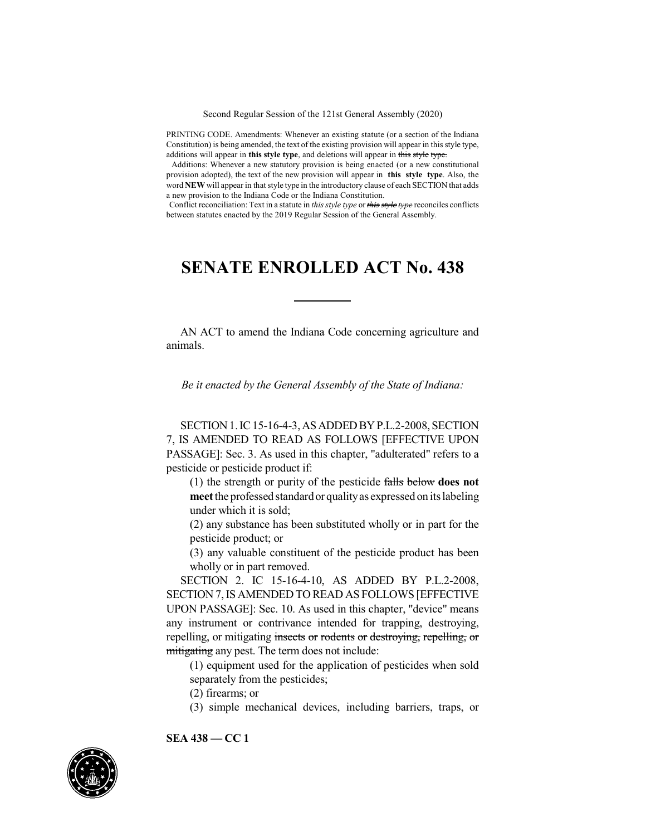Second Regular Session of the 121st General Assembly (2020)

PRINTING CODE. Amendments: Whenever an existing statute (or a section of the Indiana Constitution) is being amended, the text of the existing provision will appear in this style type, additions will appear in **this style type**, and deletions will appear in this style type.

Additions: Whenever a new statutory provision is being enacted (or a new constitutional provision adopted), the text of the new provision will appear in **this style type**. Also, the word **NEW** will appear in that style type in the introductory clause of each SECTION that adds a new provision to the Indiana Code or the Indiana Constitution.

Conflict reconciliation: Text in a statute in *this style type* or *this style type* reconciles conflicts between statutes enacted by the 2019 Regular Session of the General Assembly.

## **SENATE ENROLLED ACT No. 438**

AN ACT to amend the Indiana Code concerning agriculture and animals.

*Be it enacted by the General Assembly of the State of Indiana:*

SECTION1.IC15-16-4-3,ASADDEDBYP.L.2-2008, SECTION 7, IS AMENDED TO READ AS FOLLOWS [EFFECTIVE UPON PASSAGE]: Sec. 3. As used in this chapter, "adulterated" refers to a pesticide or pesticide product if:

(1) the strength or purity of the pesticide falls below **does not meet** the professed standardor qualityas expressed on its labeling under which it is sold;

(2) any substance has been substituted wholly or in part for the pesticide product; or

(3) any valuable constituent of the pesticide product has been wholly or in part removed.

SECTION 2. IC 15-16-4-10, AS ADDED BY P.L.2-2008, SECTION 7,IS AMENDED TO READ AS FOLLOWS [EFFECTIVE UPON PASSAGE]: Sec. 10. As used in this chapter, "device" means any instrument or contrivance intended for trapping, destroying, repelling, or mitigating insects or rodents or destroying, repelling, or mitigating any pest. The term does not include:

(1) equipment used for the application of pesticides when sold separately from the pesticides;

(2) firearms; or

(3) simple mechanical devices, including barriers, traps, or

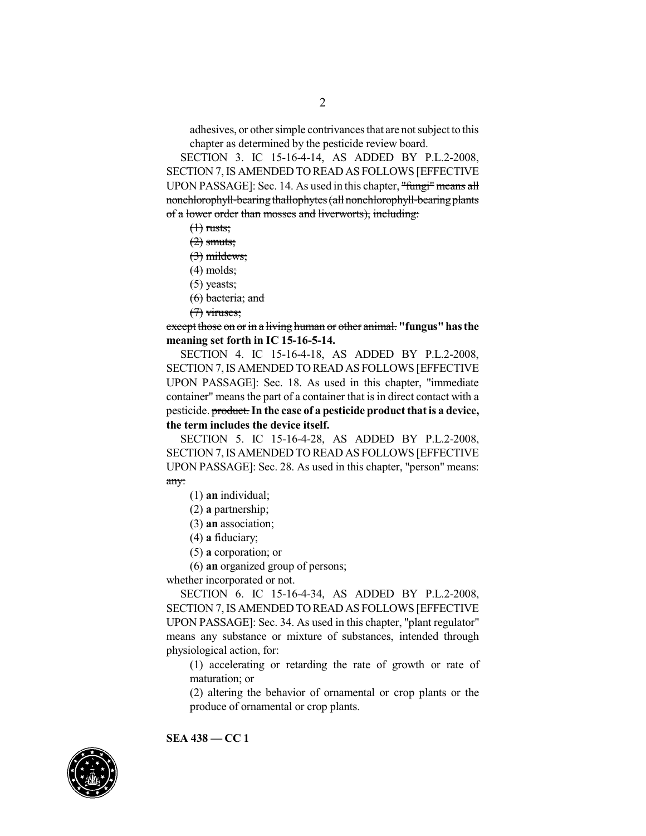adhesives, or other simple contrivances that are not subject to this chapter as determined by the pesticide review board.

SECTION 3. IC 15-16-4-14, AS ADDED BY P.L.2-2008, SECTION 7,IS AMENDED TO READ AS FOLLOWS [EFFECTIVE UPON PASSAGE]: Sec. 14. As used in this chapter, "fungi" means all nonchlorophyll-bearing thallophytes (all nonchlorophyll-bearing plants of a lower order than mosses and liverworts), including:

 $(1)$  rusts;

 $(2)$  smuts;

(3) mildews;

 $(4)$  molds;

(5) yeasts;

(6) bacteria; and

(7) viruses;

except those on or in a living human or other animal. **"fungus"hasthe meaning set forth in IC 15-16-5-14.**

SECTION 4. IC 15-16-4-18, AS ADDED BY P.L.2-2008, SECTION 7,IS AMENDED TO READ AS FOLLOWS [EFFECTIVE UPON PASSAGE]: Sec. 18. As used in this chapter, "immediate container" meansthe part of a container that is in direct contact with a pesticide. product.**In the case of a pesticide productthatis a device, the term includes the device itself.**

SECTION 5. IC 15-16-4-28, AS ADDED BY P.L.2-2008, SECTION 7,IS AMENDED TO READ AS FOLLOWS [EFFECTIVE UPON PASSAGE]: Sec. 28. As used in this chapter, "person" means: any:

(1) **an** individual;

(2) **a** partnership;

(3) **an** association;

(4) **a** fiduciary;

(5) **a** corporation; or

(6) **an** organized group of persons;

whether incorporated or not.

SECTION 6. IC 15-16-4-34, AS ADDED BY P.L.2-2008, SECTION 7, IS AMENDED TO READ AS FOLLOWS [EFFECTIVE UPON PASSAGE]: Sec. 34. As used in this chapter, "plant regulator" means any substance or mixture of substances, intended through physiological action, for:

(1) accelerating or retarding the rate of growth or rate of maturation; or

(2) altering the behavior of ornamental or crop plants or the produce of ornamental or crop plants.

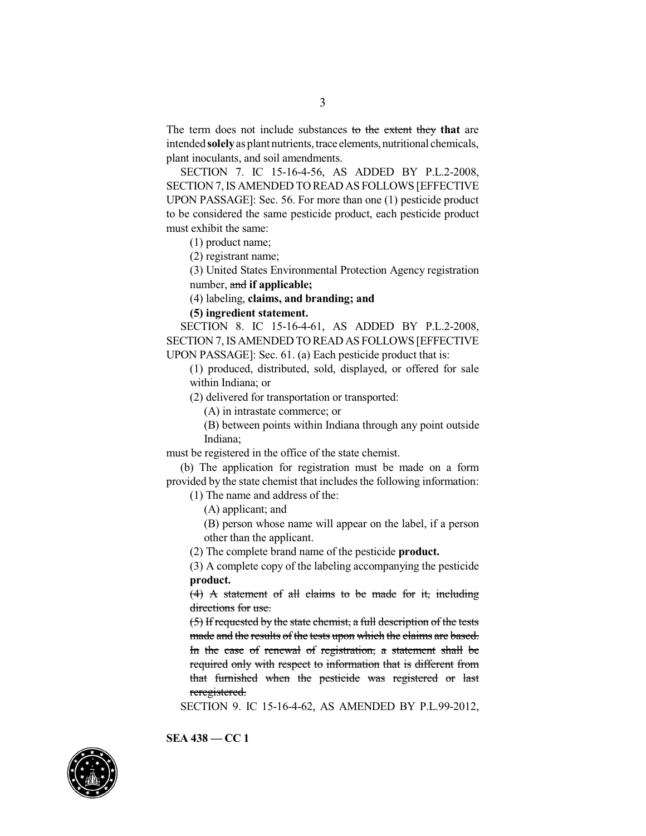The term does not include substances to the extent they **that** are intended **solely** as plant nutrients, trace elements, nutritional chemicals, plant inoculants, and soil amendments.

SECTION 7. IC 15-16-4-56, AS ADDED BY P.L.2-2008, SECTION 7,IS AMENDED TO READ AS FOLLOWS [EFFECTIVE UPON PASSAGE]: Sec. 56. For more than one (1) pesticide product to be considered the same pesticide product, each pesticide product must exhibit the same:

(1) product name;

(2) registrant name;

(3) United States Environmental Protection Agency registration number, and **if applicable;**

(4) labeling, **claims, and branding; and**

## **(5) ingredient statement.**

SECTION 8. IC 15-16-4-61, AS ADDED BY P.L.2-2008, SECTION 7, ISAMENDED TO READ AS FOLLOWS [EFFECTIVE UPON PASSAGE]: Sec. 61. (a) Each pesticide product that is:

(1) produced, distributed, sold, displayed, or offered for sale within Indiana; or

(2) delivered for transportation or transported:

(A) in intrastate commerce; or

(B) between points within Indiana through any point outside Indiana;

must be registered in the office of the state chemist.

(b) The application for registration must be made on a form provided by the state chemist that includes the following information:

(1) The name and address of the:

(A) applicant; and

(B) person whose name will appear on the label, if a person other than the applicant.

(2) The complete brand name of the pesticide **product.**

(3) A complete copy of the labeling accompanying the pesticide **product.**

(4) A statement of all claims to be made for it, including directions for use.

(5) If requested by the state chemist, a full description of the tests made and the results of the tests upon which the claims are based. In the case of renewal of registration, a statement shall be required only with respect to information that is different from that furnished when the pesticide was registered or last reregistered.

SECTION 9. IC 15-16-4-62, AS AMENDED BY P.L.99-2012,

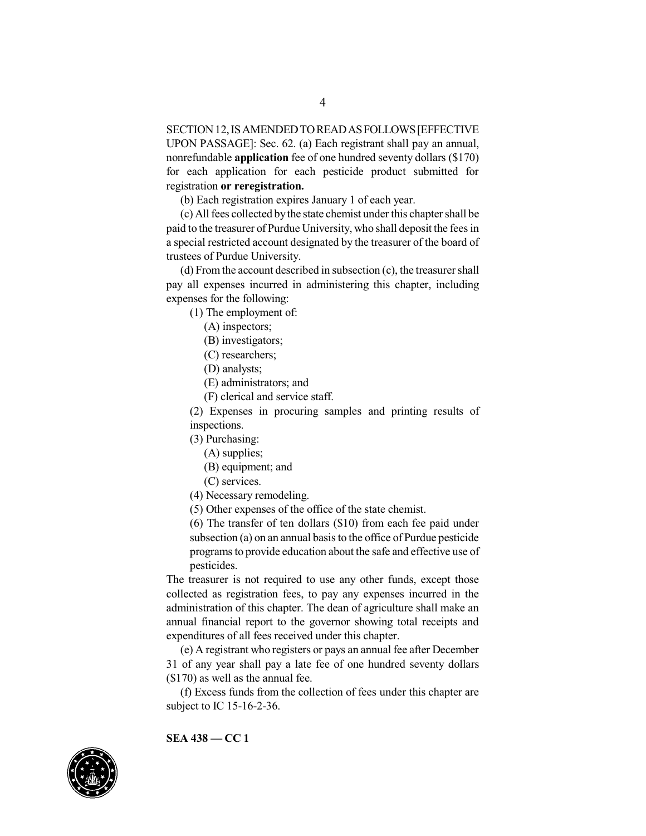SECTION 12, IS AMENDED TO READ AS FOLLOWS [EFFECTIVE UPON PASSAGE]: Sec. 62. (a) Each registrant shall pay an annual, nonrefundable **application** fee of one hundred seventy dollars (\$170) for each application for each pesticide product submitted for registration **or reregistration.**

(b) Each registration expires January 1 of each year.

(c) Allfees collected bythe state chemist under this chapter shall be paid to the treasurer of Purdue University, who shall deposit the fees in a special restricted account designated by the treasurer of the board of trustees of Purdue University.

(d) Fromthe account described in subsection (c), the treasurer shall pay all expenses incurred in administering this chapter, including expenses for the following:

(1) The employment of:

(A) inspectors;

(B) investigators;

(C) researchers;

(D) analysts;

(E) administrators; and

(F) clerical and service staff.

(2) Expenses in procuring samples and printing results of inspections.

(3) Purchasing:

(A) supplies;

- (B) equipment; and
- (C) services.
- (4) Necessary remodeling.

(5) Other expenses of the office of the state chemist.

(6) The transfer of ten dollars (\$10) from each fee paid under subsection (a) on an annual basis to the office of Purdue pesticide programs to provide education about the safe and effective use of pesticides.

The treasurer is not required to use any other funds, except those collected as registration fees, to pay any expenses incurred in the administration of this chapter. The dean of agriculture shall make an annual financial report to the governor showing total receipts and expenditures of all fees received under this chapter.

(e) A registrant who registers or pays an annual fee after December 31 of any year shall pay a late fee of one hundred seventy dollars (\$170) as well as the annual fee.

(f) Excess funds from the collection of fees under this chapter are subject to IC 15-16-2-36.

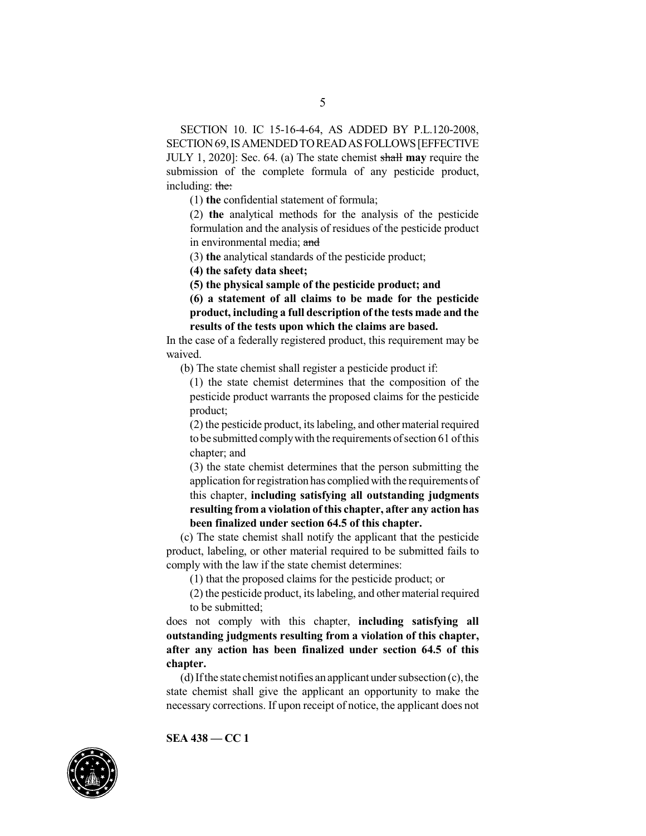SECTION 10. IC 15-16-4-64, AS ADDED BY P.L.120-2008, SECTION 69, IS AMENDED TO READ AS FOLLOWS [EFFECTIVE JULY 1, 2020]: Sec. 64. (a) The state chemist shall **may** require the submission of the complete formula of any pesticide product, including: the:

(1) **the** confidential statement of formula;

(2) **the** analytical methods for the analysis of the pesticide formulation and the analysis of residues of the pesticide product in environmental media; and

(3) **the** analytical standards of the pesticide product;

**(4) the safety data sheet;**

**(5) the physical sample of the pesticide product; and**

**(6) a statement of all claims to be made for the pesticide product, including a full description ofthe tests made and the results of the tests upon which the claims are based.**

In the case of a federally registered product, this requirement may be waived.

(b) The state chemist shall register a pesticide product if:

(1) the state chemist determines that the composition of the pesticide product warrants the proposed claims for the pesticide product;

(2) the pesticide product, its labeling, and other material required tobe submitted complywith the requirements ofsection 61 ofthis chapter; and

(3) the state chemist determines that the person submitting the application for registration has complied with the requirements of this chapter, **including satisfying all outstanding judgments resulting from a violation ofthis chapter, after any action has been finalized under section 64.5 of this chapter.**

(c) The state chemist shall notify the applicant that the pesticide product, labeling, or other material required to be submitted fails to comply with the law if the state chemist determines:

(1) that the proposed claims for the pesticide product; or

(2) the pesticide product, its labeling, and other material required to be submitted;

does not comply with this chapter, **including satisfying all outstanding judgments resulting from a violation of this chapter, after any action has been finalized under section 64.5 of this chapter.**

 $(d)$  If the state chemist notifies an applicant under subsection  $(c)$ , the state chemist shall give the applicant an opportunity to make the necessary corrections. If upon receipt of notice, the applicant does not

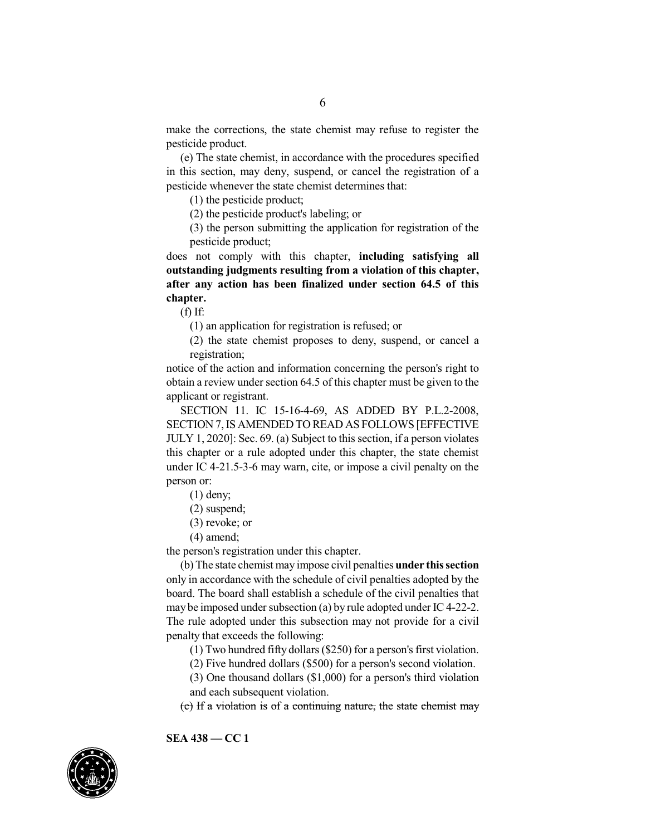make the corrections, the state chemist may refuse to register the pesticide product.

(e) The state chemist, in accordance with the procedures specified in this section, may deny, suspend, or cancel the registration of a pesticide whenever the state chemist determines that:

(1) the pesticide product;

(2) the pesticide product's labeling; or

(3) the person submitting the application for registration of the pesticide product;

does not comply with this chapter, **including satisfying all outstanding judgments resulting from a violation of this chapter, after any action has been finalized under section 64.5 of this chapter.**

 $(f)$  If:

(1) an application for registration is refused; or

(2) the state chemist proposes to deny, suspend, or cancel a registration;

notice of the action and information concerning the person's right to obtain a review under section 64.5 of this chapter must be given to the applicant or registrant.

SECTION 11. IC 15-16-4-69, AS ADDED BY P.L.2-2008, SECTION 7,IS AMENDED TO READ AS FOLLOWS [EFFECTIVE JULY 1, 2020]: Sec. 69. (a) Subject to this section, if a person violates this chapter or a rule adopted under this chapter, the state chemist under IC 4-21.5-3-6 may warn, cite, or impose a civil penalty on the person or:

- (1) deny;
- (2) suspend;
- (3) revoke; or
- (4) amend;

the person's registration under this chapter.

(b) The state chemist may impose civil penalties **under thissection** only in accordance with the schedule of civil penalties adopted by the board. The board shall establish a schedule of the civil penalties that may be imposed under subsection (a) by rule adopted under IC4-22-2. The rule adopted under this subsection may not provide for a civil penalty that exceeds the following:

(1) Two hundred fifty dollars (\$250) for a person's first violation.

(2) Five hundred dollars (\$500) for a person's second violation.

(3) One thousand dollars (\$1,000) for a person's third violation and each subsequent violation.

(c) If a violation is of a continuing nature, the state chemist may

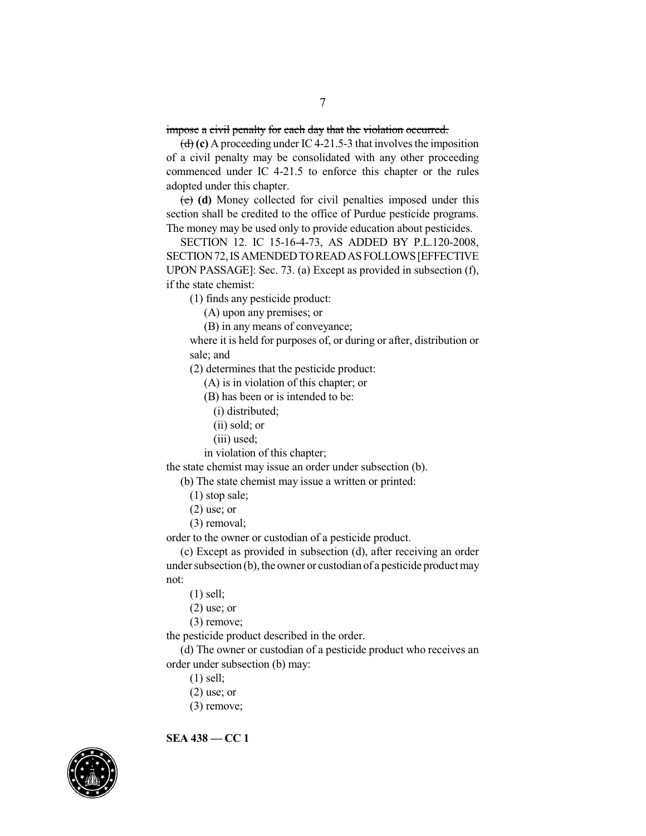impose a civil penalty for each day that the violation occurred.

 $\left(\frac{d}{d}\right)$  (c) A proceeding under IC4-21.5-3 that involves the imposition of a civil penalty may be consolidated with any other proceeding commenced under IC 4-21.5 to enforce this chapter or the rules adopted under this chapter.

(e) **(d)** Money collected for civil penalties imposed under this section shall be credited to the office of Purdue pesticide programs. The money may be used only to provide education about pesticides.

SECTION 12. IC 15-16-4-73, AS ADDED BY P.L.120-2008, SECTION 72, IS AMENDED TO READ AS FOLLOWS [EFFECTIVE UPON PASSAGE]: Sec. 73. (a) Except as provided in subsection (f), if the state chemist:

(1) finds any pesticide product:

(A) upon any premises; or

(B) in any means of conveyance;

where it is held for purposes of, or during or after, distribution or sale; and

(2) determines that the pesticide product:

(A) is in violation of this chapter; or

(B) has been or is intended to be:

(i) distributed;

(ii) sold; or

(iii) used;

in violation of this chapter;

the state chemist may issue an order under subsection (b).

(b) The state chemist may issue a written or printed:

- (1) stop sale;
- (2) use; or
- (3) removal;

order to the owner or custodian of a pesticide product.

(c) Except as provided in subsection (d), after receiving an order under subsection  $(b)$ , the owner or custodian of a pesticide product may not:

- (1) sell;
- $(2)$  use; or
- (3) remove;

the pesticide product described in the order.

(d) The owner or custodian of a pesticide product who receives an order under subsection (b) may:

- (1) sell;
- $(2)$  use; or
- (3) remove;

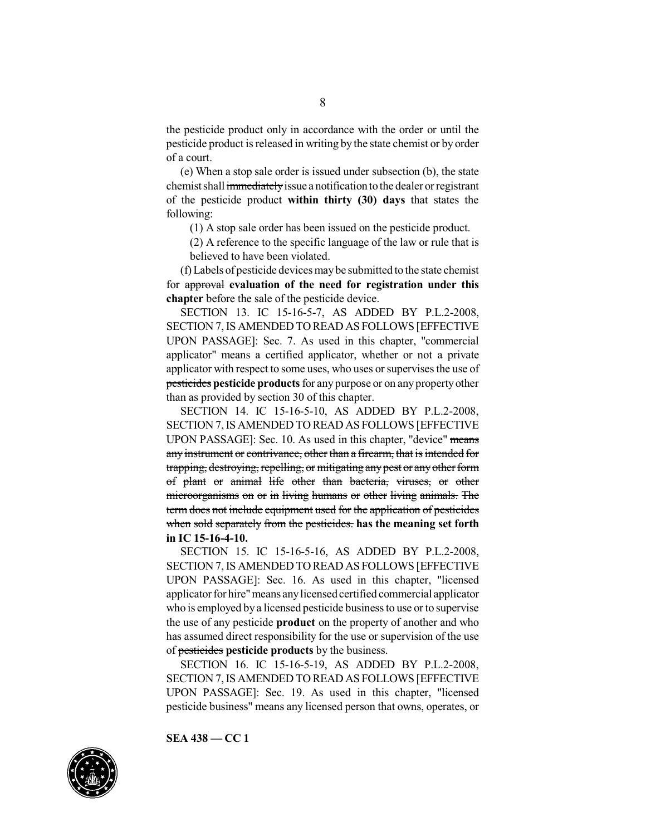the pesticide product only in accordance with the order or until the pesticide product isreleased in writing by the state chemist or by order of a court.

(e) When a stop sale order is issued under subsection (b), the state chemist shall immediately issue a notification to the dealer or registrant of the pesticide product **within thirty (30) days** that states the following:

(1) A stop sale order has been issued on the pesticide product.

(2) A reference to the specific language of the law or rule that is believed to have been violated.

(f) Labels of pesticide devicesmaybe submitted to the state chemist for approval **evaluation of the need for registration under this chapter** before the sale of the pesticide device.

SECTION 13. IC 15-16-5-7, AS ADDED BY P.L.2-2008, SECTION 7, IS AMENDED TO READ AS FOLLOWS [EFFECTIVE UPON PASSAGE]: Sec. 7. As used in this chapter, "commercial applicator" means a certified applicator, whether or not a private applicator with respect to some uses, who uses or supervisesthe use of pesticides **pesticide products** for any purpose or on anypropertyother than as provided by section 30 of this chapter.

SECTION 14. IC 15-16-5-10, AS ADDED BY P.L.2-2008, SECTION 7,IS AMENDED TO READ AS FOLLOWS [EFFECTIVE UPON PASSAGE]: Sec. 10. As used in this chapter, "device" means any instrument or contrivance, other than a firearm, that is intended for trapping, destroying, repelling, or mitigating any pest or any other form of plant or animal life other than bacteria, viruses, or other microorganisms on or in living humans or other living animals. The term does not include equipment used for the application of pesticides when sold separately from the pesticides. **has the meaning set forth in IC 15-16-4-10.**

SECTION 15. IC 15-16-5-16, AS ADDED BY P.L.2-2008, SECTION 7,IS AMENDED TO READ AS FOLLOWS [EFFECTIVE UPON PASSAGE]: Sec. 16. As used in this chapter, "licensed applicator for hire"means anylicensed certified commercial applicator who is employed by a licensed pesticide business to use or to supervise the use of any pesticide **product** on the property of another and who has assumed direct responsibility for the use or supervision of the use of pesticides **pesticide products** by the business.

SECTION 16. IC 15-16-5-19, AS ADDED BY P.L.2-2008, SECTION 7,IS AMENDED TO READ AS FOLLOWS [EFFECTIVE UPON PASSAGE]: Sec. 19. As used in this chapter, "licensed pesticide business" means any licensed person that owns, operates, or

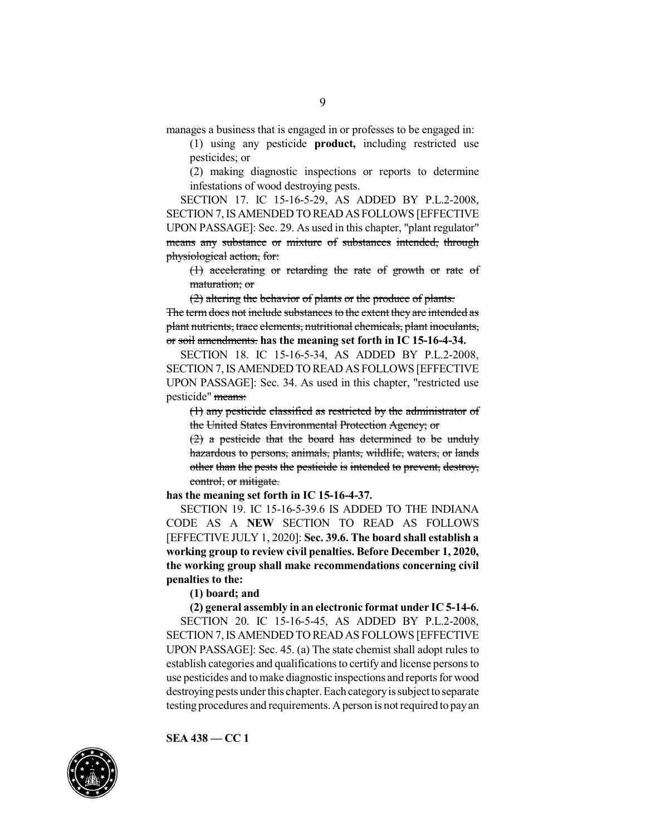(1) using any pesticide **product,** including restricted use pesticides; or

(2) making diagnostic inspections or reports to determine infestations of wood destroying pests.

SECTION 17. IC 15-16-5-29, AS ADDED BY P.L.2-2008, SECTION 7,IS AMENDED TO READ AS FOLLOWS [EFFECTIVE UPON PASSAGE]: Sec. 29. As used in this chapter, "plant regulator" means any substance or mixture of substances intended, through physiological action, for:

(1) accelerating or retarding the rate of growth or rate of maturation; or

(2) altering the behavior of plants or the produce of plants. The term does not include substances to the extent they are intended as plant nutrients, trace elements, nutritional chemicals, plant inoculants, or soil amendments. **has the meaning set forth in IC 15-16-4-34.**

SECTION 18. IC 15-16-5-34, AS ADDED BY P.L.2-2008, SECTION 7,IS AMENDED TO READ AS FOLLOWS [EFFECTIVE UPON PASSAGE]: Sec. 34. As used in this chapter, "restricted use pesticide" means:

(1) any pesticide classified as restricted by the administrator of the United States Environmental Protection Agency; or

 $(2)$  a pesticide that the board has determined to be unduly hazardous to persons, animals, plants, wildlife, waters, or lands other than the pests the pesticide is intended to prevent, destroy, control, or mitigate.

**has the meaning set forth in IC 15-16-4-37.**

SECTION 19. IC 15-16-5-39.6 IS ADDED TO THE INDIANA CODE AS A **NEW** SECTION TO READ AS FOLLOWS [EFFECTIVE JULY 1, 2020]: **Sec. 39.6. The board shall establish a working group to review civil penalties. Before December 1, 2020, the working group shall make recommendations concerning civil penalties to the:**

**(1) board; and**

**(2) general assembly in an electronic format under IC 5-14-6.** SECTION 20. IC 15-16-5-45, AS ADDED BY P.L.2-2008, SECTION 7,IS AMENDED TO READ AS FOLLOWS [EFFECTIVE UPON PASSAGE]: Sec. 45. (a) The state chemist shall adopt rules to establish categories and qualifications to certify and license persons to use pesticides and tomake diagnostic inspections and reports for wood destroying pests under this chapter. Each category is subject to separate testing procedures and requirements. Aperson is not required to payan

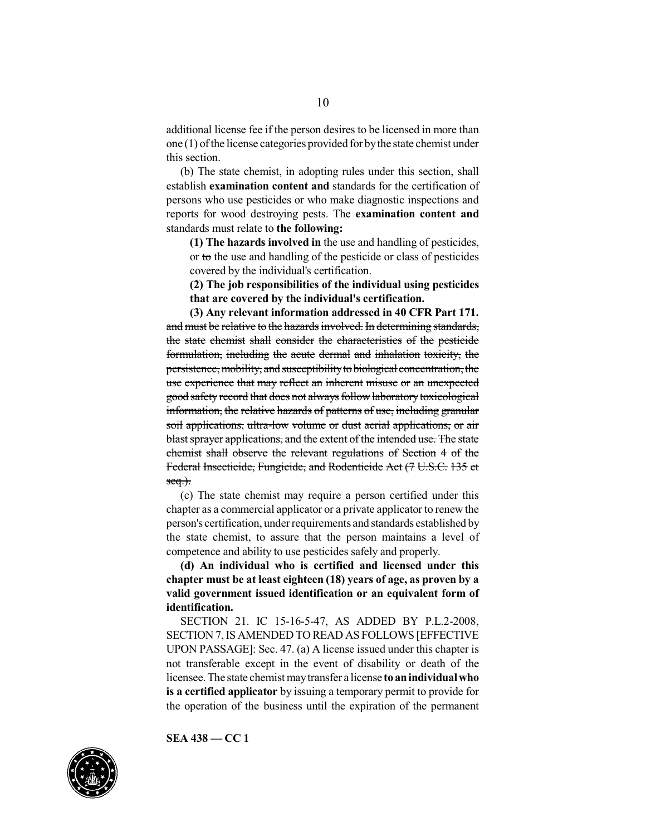additional license fee if the person desires to be licensed in more than one  $(1)$  of the license categories provided for by the state chemist under this section.

(b) The state chemist, in adopting rules under this section, shall establish **examination content and** standards for the certification of persons who use pesticides or who make diagnostic inspections and reports for wood destroying pests. The **examination content and** standards must relate to **the following:**

**(1) The hazards involved in** the use and handling of pesticides, or to the use and handling of the pesticide or class of pesticides covered by the individual's certification.

**(2) The job responsibilities of the individual using pesticides that are covered by the individual's certification.**

**(3) Any relevant information addressed in 40 CFR Part 171.** and must be relative to the hazards involved. In determining standards, the state chemist shall consider the characteristics of the pesticide formulation, including the acute dermal and inhalation toxicity, the persistence, mobility, and susceptibility to biological concentration, the use experience that may reflect an inherent misuse or an unexpected good safety record that does not always follow laboratory toxicological information, the relative hazards of patterns of use, including granular soil applications, ultra-low volume or dust aerial applications, or air blast sprayer applications, and the extent of the intended use. The state chemist shall observe the relevant regulations of Section 4 of the Federal Insecticide, Fungicide, and Rodenticide Act (7 U.S.C. 135 et  $seq.$ ).

(c) The state chemist may require a person certified under this chapter as a commercial applicator or a private applicator to renew the person's certification, under requirements and standards established by the state chemist, to assure that the person maintains a level of competence and ability to use pesticides safely and properly.

**(d) An individual who is certified and licensed under this chapter must be at least eighteen (18) years of age, as proven by a valid government issued identification or an equivalent form of identification.**

SECTION 21. IC 15-16-5-47, AS ADDED BY P.L.2-2008, SECTION 7,IS AMENDED TO READ AS FOLLOWS [EFFECTIVE UPON PASSAGE]: Sec. 47. (a) A license issued under this chapter is not transferable except in the event of disability or death of the licensee.The state chemist maytransfer a license **to anindividualwho is a certified applicator** by issuing a temporary permit to provide for the operation of the business until the expiration of the permanent

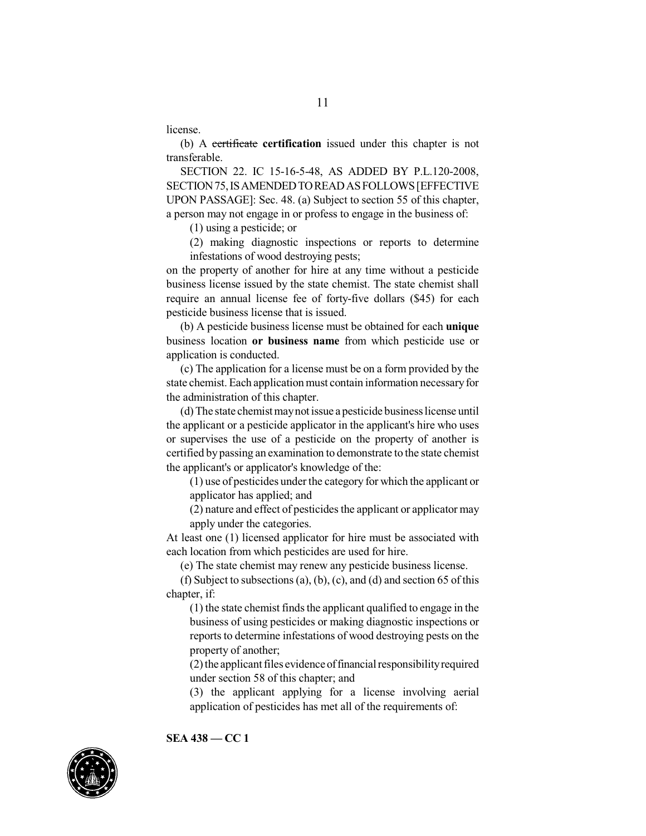license.

(b) A certificate **certification** issued under this chapter is not transferable.

SECTION 22. IC 15-16-5-48, AS ADDED BY P.L.120-2008, SECTION75,ISAMENDEDTOREADASFOLLOWS[EFFECTIVE UPON PASSAGE]: Sec. 48. (a) Subject to section 55 of this chapter, a person may not engage in or profess to engage in the business of:

(1) using a pesticide; or

(2) making diagnostic inspections or reports to determine infestations of wood destroying pests;

on the property of another for hire at any time without a pesticide business license issued by the state chemist. The state chemist shall require an annual license fee of forty-five dollars (\$45) for each pesticide business license that is issued.

(b) A pesticide business license must be obtained for each **unique** business location **or business name** from which pesticide use or application is conducted.

(c) The application for a license must be on a form provided by the state chemist. Each application must contain information necessary for the administration of this chapter.

(d) The state chemist maynot issue a pesticide businesslicense until the applicant or a pesticide applicator in the applicant's hire who uses or supervises the use of a pesticide on the property of another is certified by passing an examination to demonstrate to the state chemist the applicant's or applicator's knowledge of the:

(1) use of pesticides under the category for which the applicant or applicator has applied; and

 $(2)$  nature and effect of pesticides the applicant or applicator may apply under the categories.

At least one (1) licensed applicator for hire must be associated with each location from which pesticides are used for hire.

(e) The state chemist may renew any pesticide business license.

(f) Subject to subsections (a), (b), (c), and (d) and section 65 of this chapter, if:

 $(1)$  the state chemist finds the applicant qualified to engage in the business of using pesticides or making diagnostic inspections or reports to determine infestations of wood destroying pests on the property of another;

 $(2)$  the applicant files evidence of financial responsibility required under section 58 of this chapter; and

(3) the applicant applying for a license involving aerial application of pesticides has met all of the requirements of:

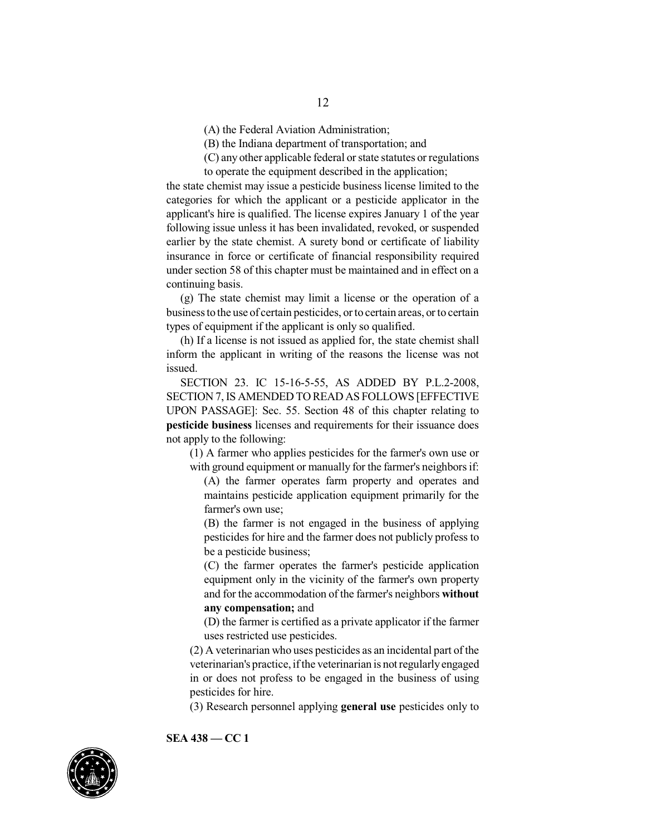(A) the Federal Aviation Administration;

(B) the Indiana department of transportation; and

(C) any other applicable federal or state statutes or regulations to operate the equipment described in the application;

the state chemist may issue a pesticide business license limited to the categories for which the applicant or a pesticide applicator in the applicant's hire is qualified. The license expires January 1 of the year following issue unless it has been invalidated, revoked, or suspended earlier by the state chemist. A surety bond or certificate of liability insurance in force or certificate of financial responsibility required under section 58 of this chapter must be maintained and in effect on a continuing basis.

(g) The state chemist may limit a license or the operation of a businesstothe use of certain pesticides, or to certain areas, or to certain types of equipment if the applicant is only so qualified.

(h) If a license is not issued as applied for, the state chemist shall inform the applicant in writing of the reasons the license was not issued.

SECTION 23. IC 15-16-5-55, AS ADDED BY P.L.2-2008, SECTION 7,IS AMENDED TO READ AS FOLLOWS [EFFECTIVE UPON PASSAGE]: Sec. 55. Section 48 of this chapter relating to **pesticide business** licenses and requirements for their issuance does not apply to the following:

(1) A farmer who applies pesticides for the farmer's own use or with ground equipment or manually for the farmer's neighbors if:

(A) the farmer operates farm property and operates and maintains pesticide application equipment primarily for the farmer's own use;

(B) the farmer is not engaged in the business of applying pesticides for hire and the farmer does not publicly profess to be a pesticide business;

(C) the farmer operates the farmer's pesticide application equipment only in the vicinity of the farmer's own property and for the accommodation of the farmer's neighbors **without any compensation;** and

(D) the farmer is certified as a private applicator if the farmer uses restricted use pesticides.

 $(2)$  A veterinarian who uses pesticides as an incidental part of the veterinarian's practice, ifthe veterinarian is not regularlyengaged in or does not profess to be engaged in the business of using pesticides for hire.

(3) Research personnel applying **general use** pesticides only to

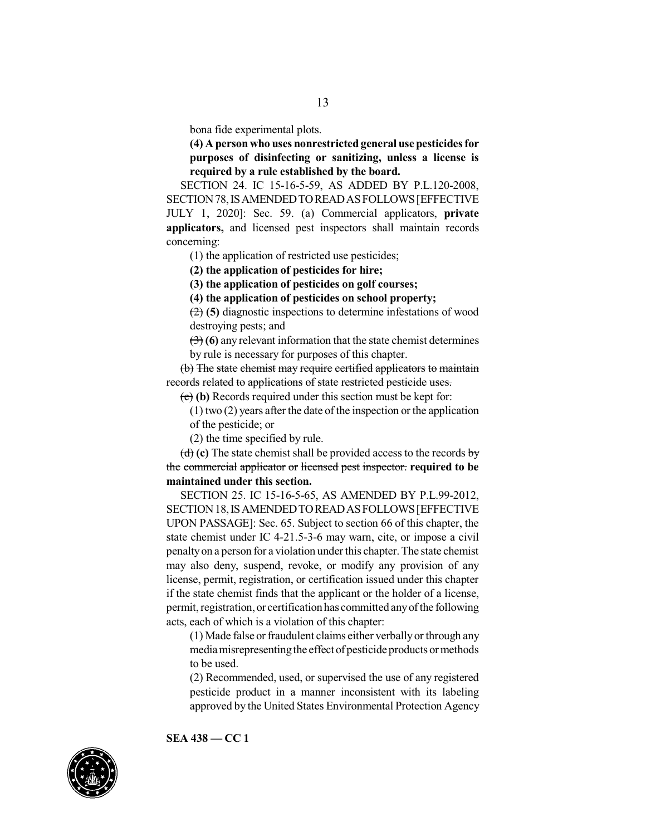bona fide experimental plots.

**(4) A person who uses nonrestrictedgeneral use pesticidesfor purposes of disinfecting or sanitizing, unless a license is required by a rule established by the board.**

SECTION 24. IC 15-16-5-59, AS ADDED BY P.L.120-2008, SECTION78,ISAMENDEDTOREADASFOLLOWS[EFFECTIVE JULY 1, 2020]: Sec. 59. (a) Commercial applicators, **private applicators,** and licensed pest inspectors shall maintain records concerning:

(1) the application of restricted use pesticides;

**(2) the application of pesticides for hire;**

**(3) the application of pesticides on golf courses;**

**(4) the application of pesticides on school property;**

(2) **(5)** diagnostic inspections to determine infestations of wood destroying pests; and

(3) **(6)** any relevant information that the state chemist determines by rule is necessary for purposes of this chapter.

(b) The state chemist may require certified applicators to maintain records related to applications of state restricted pesticide uses.

(c) **(b)** Records required under this section must be kept for:

(1) two (2) years after the date of the inspection or the application of the pesticide; or

(2) the time specified by rule.

(d) **(c)** The state chemist shall be provided access to the records by the commercial applicator or licensed pest inspector. **required to be maintained under this section.**

SECTION 25. IC 15-16-5-65, AS AMENDED BY P.L.99-2012, SECTION18,ISAMENDEDTOREADASFOLLOWS[EFFECTIVE UPON PASSAGE]: Sec. 65. Subject to section 66 of this chapter, the state chemist under IC 4-21.5-3-6 may warn, cite, or impose a civil penaltyon a person for a violation under this chapter.The state chemist may also deny, suspend, revoke, or modify any provision of any license, permit, registration, or certification issued under this chapter if the state chemist finds that the applicant or the holder of a license, permit, registration, or certification has committed any of the following acts, each of which is a violation of this chapter:

(1) Made false or fraudulent claims either verbally or through any mediamisrepresentingthe effect of pesticide products or methods to be used.

(2) Recommended, used, or supervised the use of any registered pesticide product in a manner inconsistent with its labeling approved by the United States Environmental Protection Agency

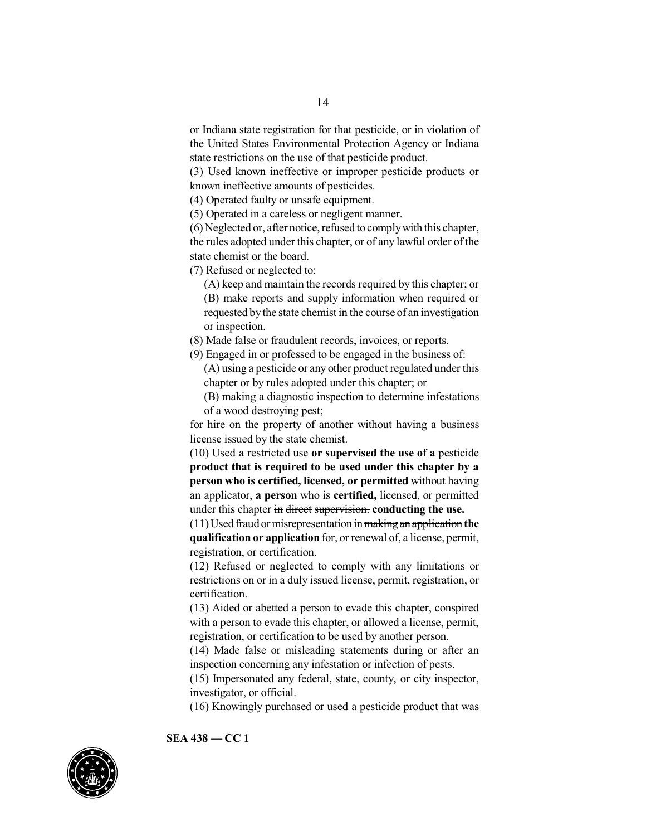or Indiana state registration for that pesticide, or in violation of the United States Environmental Protection Agency or Indiana state restrictions on the use of that pesticide product.

(3) Used known ineffective or improper pesticide products or known ineffective amounts of pesticides.

(4) Operated faulty or unsafe equipment.

(5) Operated in a careless or negligent manner.

 $(6)$  Neglected or, after notice, refused to comply with this chapter, the rules adopted under this chapter, or of any lawful order of the state chemist or the board.

(7) Refused or neglected to:

(A) keep and maintain the records required by this chapter; or (B) make reports and supply information when required or requested bythe state chemist in the course of an investigation or inspection.

(8) Made false or fraudulent records, invoices, or reports.

(9) Engaged in or professed to be engaged in the business of:

(A) using a pesticide or any other product regulated under this chapter or by rules adopted under this chapter; or

(B) making a diagnostic inspection to determine infestations of a wood destroying pest;

for hire on the property of another without having a business license issued by the state chemist.

(10) Used a restricted use **or supervised the use of a** pesticide **product that is required to be used under this chapter by a person who is certified, licensed, or permitted** without having an applicator, **a person** who is **certified,** licensed, or permitted under this chapter in direct supervision. **conducting the use.**

(11)Used fraud or misrepresentation inmakingan application **the qualification or application** for, or renewal of, a license, permit, registration, or certification.

(12) Refused or neglected to comply with any limitations or restrictions on or in a duly issued license, permit, registration, or certification.

(13) Aided or abetted a person to evade this chapter, conspired with a person to evade this chapter, or allowed a license, permit, registration, or certification to be used by another person.

(14) Made false or misleading statements during or after an inspection concerning any infestation or infection of pests.

(15) Impersonated any federal, state, county, or city inspector, investigator, or official.

(16) Knowingly purchased or used a pesticide product that was

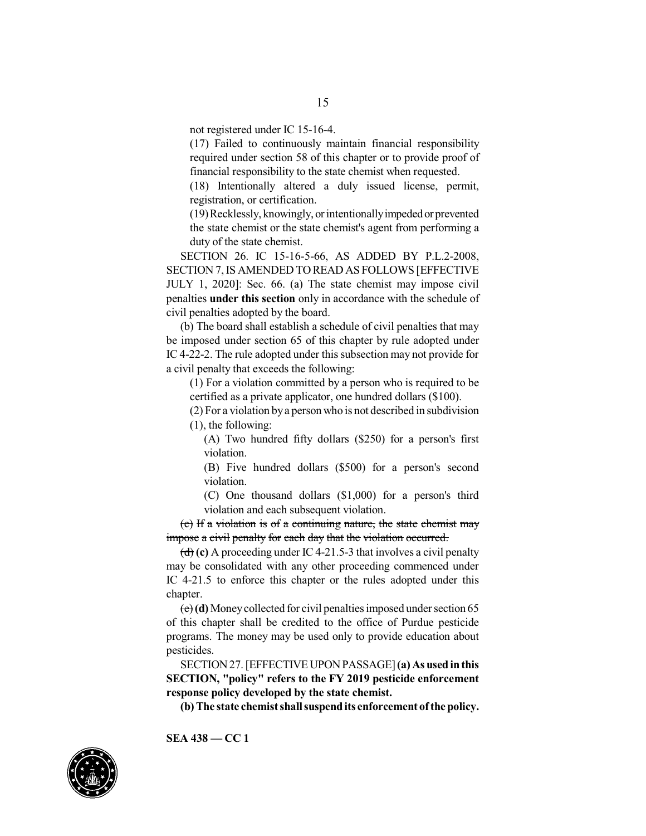not registered under IC 15-16-4.

(17) Failed to continuously maintain financial responsibility required under section 58 of this chapter or to provide proof of financial responsibility to the state chemist when requested.

(18) Intentionally altered a duly issued license, permit, registration, or certification.

(19)Recklessly, knowingly, or intentionallyimpededor prevented the state chemist or the state chemist's agent from performing a duty of the state chemist.

SECTION 26. IC 15-16-5-66, AS ADDED BY P.L.2-2008, SECTION 7,IS AMENDED TO READ AS FOLLOWS [EFFECTIVE JULY 1, 2020]: Sec. 66. (a) The state chemist may impose civil penalties **under this section** only in accordance with the schedule of civil penalties adopted by the board.

(b) The board shall establish a schedule of civil penalties that may be imposed under section 65 of this chapter by rule adopted under IC 4-22-2. The rule adopted under this subsection may not provide for a civil penalty that exceeds the following:

(1) For a violation committed by a person who is required to be certified as a private applicator, one hundred dollars (\$100).

(2) For a violation bya person who is not described in subdivision (1), the following:

(A) Two hundred fifty dollars (\$250) for a person's first violation.

(B) Five hundred dollars (\$500) for a person's second violation.

(C) One thousand dollars (\$1,000) for a person's third violation and each subsequent violation.

(c) If a violation is of a continuing nature, the state chemist may impose a civil penalty for each day that the violation occurred.

(d) **(c)** A proceeding under IC 4-21.5-3 that involves a civil penalty may be consolidated with any other proceeding commenced under IC 4-21.5 to enforce this chapter or the rules adopted under this chapter.

(e)**(d)** Moneycollected for civil penalties imposed under section 65 of this chapter shall be credited to the office of Purdue pesticide programs. The money may be used only to provide education about pesticides.

SECTION27.[EFFECTIVEUPONPASSAGE]**(a) As usedinthis SECTION, "policy" refers to the FY 2019 pesticide enforcement response policy developed by the state chemist.**

**(b) The state chemist shall suspendits enforcement ofthe policy.**

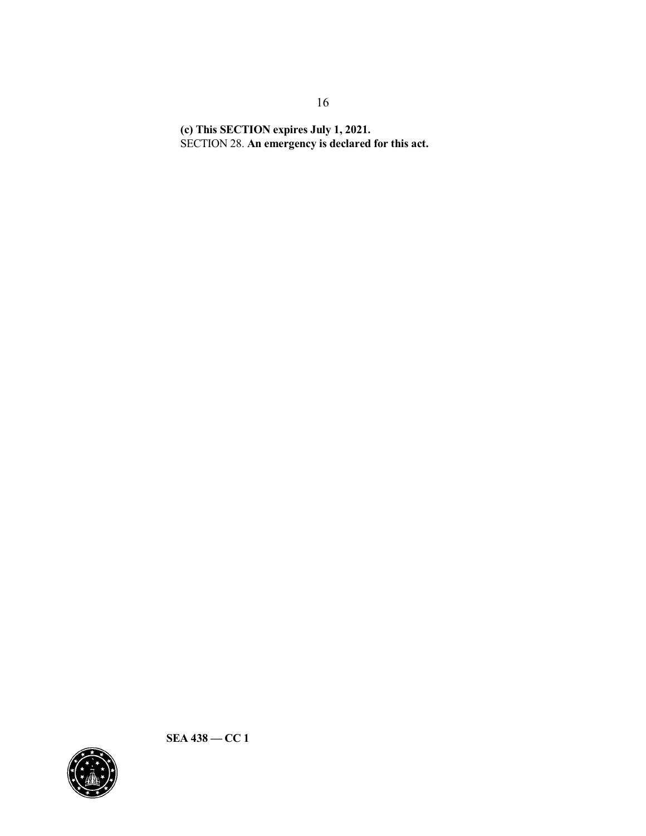**(c) This SECTION expires July 1, 2021.** SECTION 28. **An emergency is declared for this act.**